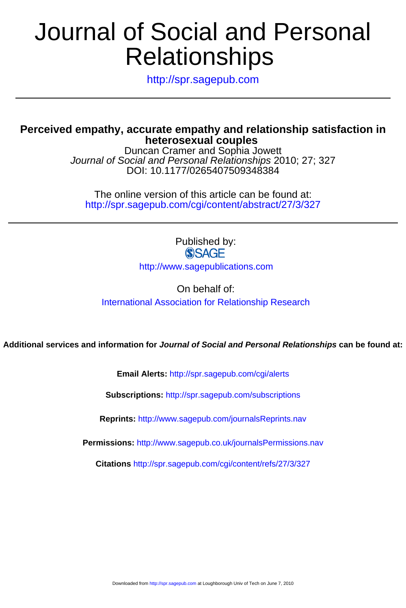# **Relationships** Journal of Social and Personal

http://spr.sagepub.com

#### **heterosexual couples Perceived empathy, accurate empathy and relationship satisfaction in**

DOI: 10.1177/0265407509348384 Journal of Social and Personal Relationships 2010; 27; 327 Duncan Cramer and Sophia Jowett

http://spr.sagepub.com/cgi/content/abstract/27/3/327 The online version of this article can be found at:

> Published by: **SSAGE** http://www.sagepublications.com

On behalf of: [International Association for Relationship Research](http://www.iarr.org)

**Additional services and information for Journal of Social and Personal Relationships can be found at:**

**Email Alerts:** <http://spr.sagepub.com/cgi/alerts>

**Subscriptions:** <http://spr.sagepub.com/subscriptions>

**Reprints:** <http://www.sagepub.com/journalsReprints.nav>

**Permissions:** <http://www.sagepub.co.uk/journalsPermissions.nav>

**Citations** <http://spr.sagepub.com/cgi/content/refs/27/3/327>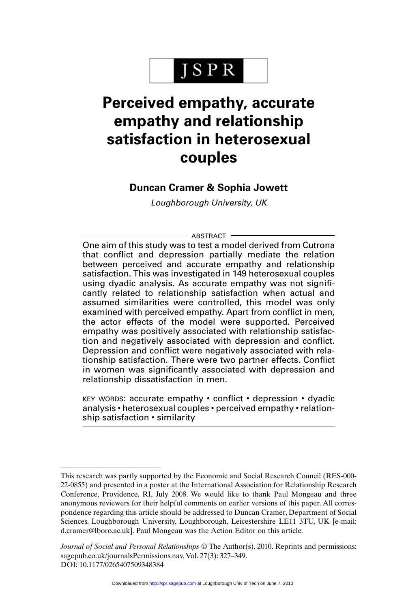## JSPR

### **Perceived empathy, accurate empathy and relationship satisfaction in heterosexual couples**

#### **Duncan Cramer & Sophia Jowett**

Loughborough University, UK

- ARSTRACT -

One aim of this study was to test a model derived from Cutrona that conflict and depression partially mediate the relation between perceived and accurate empathy and relationship satisfaction. This was investigated in 149 heterosexual couples using dyadic analysis. As accurate empathy was not significantly related to relationship satisfaction when actual and assumed similarities were controlled, this model was only examined with perceived empathy. Apart from conflict in men, the actor effects of the model were supported. Perceived empathy was positively associated with relationship satisfaction and negatively associated with depression and conflict. Depression and conflict were negatively associated with relationship satisfaction. There were two partner effects. Conflict in women was significantly associated with depression and relationship dissatisfaction in men.

KEY WORDS: accurate empathy • conflict • depression • dyadic analysis • heterosexual couples • perceived empathy • relationship satisfaction • similarity

This research was partly supported by the Economic and Social Research Council (RES-000- 22-0855) and presented in a poster at the International Association for Relationship Research Conference, Providence, RI, July 2008. We would like to thank Paul Mongeau and three anonymous reviewers for their helpful comments on earlier versions of this paper. All correspondence regarding this article should be addressed to Duncan Cramer, Department of Social Sciences, Loughborough University, Loughborough, Leicestershire LE11 3TU, UK [e-mail: d.cramer@lboro.ac.uk]. Paul Mongeau was the Action Editor on this article.

*Journal of Social and Personal Relationships* © The Author(s), 2010. Reprints and permissions: sagepub.co.uk/journalsPermissions.nav, Vol. 27(3): 327–349. DOI: 10.1177/0265407509348384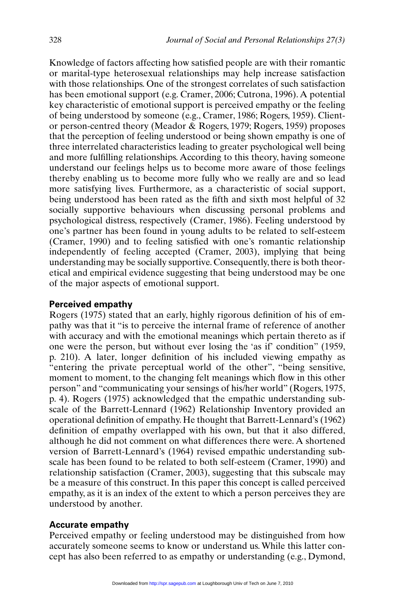Knowledge of factors affecting how satisfied people are with their romantic or marital-type heterosexual relationships may help increase satisfaction with those relationships. One of the strongest correlates of such satisfaction has been emotional support (e.g. Cramer, 2006; Cutrona, 1996). A potential key characteristic of emotional support is perceived empathy or the feeling of being understood by someone (e.g., Cramer, 1986; Rogers, 1959). Clientor person-centred theory (Meador & Rogers, 1979; Rogers, 1959) proposes that the perception of feeling understood or being shown empathy is one of three interrelated characteristics leading to greater psychological well being and more fulfilling relationships. According to this theory, having someone understand our feelings helps us to become more aware of those feelings thereby enabling us to become more fully who we really are and so lead more satisfying lives. Furthermore, as a characteristic of social support, being understood has been rated as the fifth and sixth most helpful of 32 socially supportive behaviours when discussing personal problems and psychological distress, respectively (Cramer, 1986). Feeling understood by one's partner has been found in young adults to be related to self-esteem (Cramer, 1990) and to feeling satisfied with one's romantic relationship independently of feeling accepted (Cramer, 2003), implying that being understanding may be socially supportive. Consequently, there is both theoretical and empirical evidence suggesting that being understood may be one of the major aspects of emotional support.

#### **Perceived empathy**

Rogers (1975) stated that an early, highly rigorous definition of his of empathy was that it "is to perceive the internal frame of reference of another with accuracy and with the emotional meanings which pertain thereto as if one were the person, but without ever losing the 'as if' condition" (1959, p. 210). A later, longer definition of his included viewing empathy as "entering the private perceptual world of the other", "being sensitive, moment to moment, to the changing felt meanings which flow in this other person" and "communicating your sensings of his/her world" (Rogers, 1975, p. 4). Rogers (1975) acknowledged that the empathic understanding subscale of the Barrett-Lennard (1962) Relationship Inventory provided an operational definition of empathy. He thought that Barrett-Lennard's (1962) definition of empathy overlapped with his own, but that it also differed, although he did not comment on what differences there were. A shortened version of Barrett-Lennard's (1964) revised empathic understanding subscale has been found to be related to both self-esteem (Cramer, 1990) and relationship satisfaction (Cramer, 2003), suggesting that this subscale may be a measure of this construct. In this paper this concept is called perceived empathy, as it is an index of the extent to which a person perceives they are understood by another.

#### **Accurate empathy**

Perceived empathy or feeling understood may be distinguished from how accurately someone seems to know or understand us. While this latter concept has also been referred to as empathy or understanding (e.g., Dymond,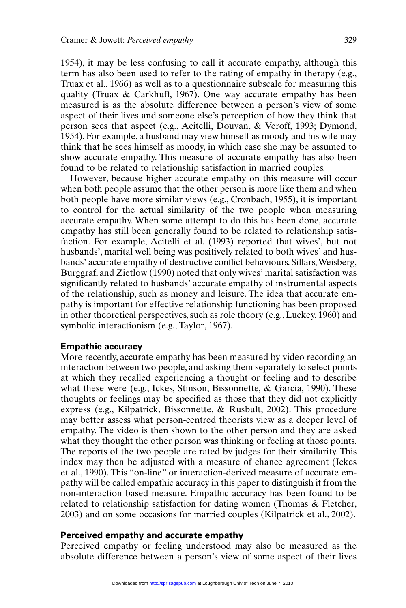1954), it may be less confusing to call it accurate empathy, although this term has also been used to refer to the rating of empathy in therapy (e.g., Truax et al., 1966) as well as to a questionnaire subscale for measuring this quality (Truax & Carkhuff, 1967). One way accurate empathy has been measured is as the absolute difference between a person's view of some aspect of their lives and someone else's perception of how they think that person sees that aspect (e.g., Acitelli, Douvan, & Veroff, 1993; Dymond, 1954). For example, a husband may view himself as moody and his wife may think that he sees himself as moody, in which case she may be assumed to show accurate empathy. This measure of accurate empathy has also been found to be related to relationship satisfaction in married couples.

However, because higher accurate empathy on this measure will occur when both people assume that the other person is more like them and when both people have more similar views (e.g., Cronbach, 1955), it is important to control for the actual similarity of the two people when measuring accurate empathy. When some attempt to do this has been done, accurate empathy has still been generally found to be related to relationship satisfaction. For example, Acitelli et al. (1993) reported that wives', but not husbands', marital well being was positively related to both wives' and husbands' accurate empathy of destructive conflict behaviours. Sillars,Weisberg, Burggraf, and Zietlow (1990) noted that only wives' marital satisfaction was significantly related to husbands' accurate empathy of instrumental aspects of the relationship, such as money and leisure. The idea that accurate empathy is important for effective relationship functioning has been proposed in other theoretical perspectives, such as role theory (e.g., Luckey, 1960) and symbolic interactionism (e.g., Taylor, 1967).

#### **Empathic accuracy**

More recently, accurate empathy has been measured by video recording an interaction between two people, and asking them separately to select points at which they recalled experiencing a thought or feeling and to describe what these were (e.g., Ickes, Stinson, Bissonnette, & Garcia, 1990). These thoughts or feelings may be specified as those that they did not explicitly express (e.g., Kilpatrick, Bissonnette, & Rusbult, 2002). This procedure may better assess what person-centred theorists view as a deeper level of empathy. The video is then shown to the other person and they are asked what they thought the other person was thinking or feeling at those points. The reports of the two people are rated by judges for their similarity. This index may then be adjusted with a measure of chance agreement (Ickes et al., 1990). This "on-line" or interaction-derived measure of accurate empathy will be called empathic accuracy in this paper to distinguish it from the non-interaction based measure. Empathic accuracy has been found to be related to relationship satisfaction for dating women (Thomas & Fletcher, 2003) and on some occasions for married couples (Kilpatrick et al., 2002).

#### **Perceived empathy and accurate empathy**

Perceived empathy or feeling understood may also be measured as the absolute difference between a person's view of some aspect of their lives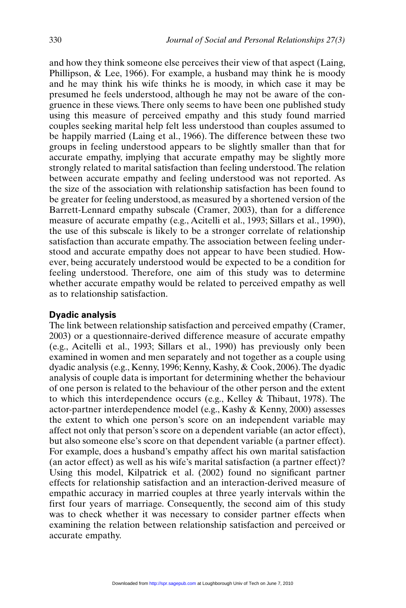and how they think someone else perceives their view of that aspect (Laing, Phillipson, & Lee, 1966). For example, a husband may think he is moody and he may think his wife thinks he is moody, in which case it may be presumed he feels understood, although he may not be aware of the congruence in these views. There only seems to have been one published study using this measure of perceived empathy and this study found married couples seeking marital help felt less understood than couples assumed to be happily married (Laing et al., 1966). The difference between these two groups in feeling understood appears to be slightly smaller than that for accurate empathy, implying that accurate empathy may be slightly more strongly related to marital satisfaction than feeling understood. The relation between accurate empathy and feeling understood was not reported. As the size of the association with relationship satisfaction has been found to be greater for feeling understood, as measured by a shortened version of the Barrett-Lennard empathy subscale (Cramer, 2003), than for a difference measure of accurate empathy (e.g., Acitelli et al., 1993; Sillars et al., 1990), the use of this subscale is likely to be a stronger correlate of relationship satisfaction than accurate empathy. The association between feeling understood and accurate empathy does not appear to have been studied. However, being accurately understood would be expected to be a condition for feeling understood. Therefore, one aim of this study was to determine whether accurate empathy would be related to perceived empathy as well as to relationship satisfaction.

#### **Dyadic analysis**

The link between relationship satisfaction and perceived empathy (Cramer, 2003) or a questionnaire-derived difference measure of accurate empathy (e.g., Acitelli et al., 1993; Sillars et al., 1990) has previously only been examined in women and men separately and not together as a couple using dyadic analysis (e.g., Kenny, 1996; Kenny, Kashy, & Cook, 2006). The dyadic analysis of couple data is important for determining whether the behaviour of one person is related to the behaviour of the other person and the extent to which this interdependence occurs (e.g., Kelley & Thibaut, 1978). The actor-partner interdependence model (e.g., Kashy & Kenny, 2000) assesses the extent to which one person's score on an independent variable may affect not only that person's score on a dependent variable (an actor effect), but also someone else's score on that dependent variable (a partner effect). For example, does a husband's empathy affect his own marital satisfaction (an actor effect) as well as his wife's marital satisfaction (a partner effect)? Using this model, Kilpatrick et al. (2002) found no significant partner effects for relationship satisfaction and an interaction-derived measure of empathic accuracy in married couples at three yearly intervals within the first four years of marriage. Consequently, the second aim of this study was to check whether it was necessary to consider partner effects when examining the relation between relationship satisfaction and perceived or accurate empathy.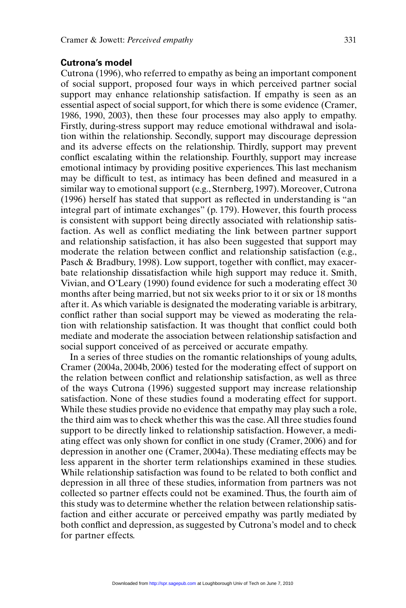#### **Cutrona's model**

Cutrona (1996), who referred to empathy as being an important component of social support, proposed four ways in which perceived partner social support may enhance relationship satisfaction. If empathy is seen as an essential aspect of social support, for which there is some evidence (Cramer, 1986, 1990, 2003), then these four processes may also apply to empathy. Firstly, during-stress support may reduce emotional withdrawal and isolation within the relationship. Secondly, support may discourage depression and its adverse effects on the relationship. Thirdly, support may prevent conflict escalating within the relationship. Fourthly, support may increase emotional intimacy by providing positive experiences. This last mechanism may be difficult to test, as intimacy has been defined and measured in a similar way to emotional support (e.g., Sternberg, 1997). Moreover, Cutrona (1996) herself has stated that support as reflected in understanding is "an integral part of intimate exchanges" (p. 179). However, this fourth process is consistent with support being directly associated with relationship satisfaction. As well as conflict mediating the link between partner support and relationship satisfaction, it has also been suggested that support may moderate the relation between conflict and relationship satisfaction (e.g., Pasch & Bradbury, 1998). Low support, together with conflict, may exacerbate relationship dissatisfaction while high support may reduce it. Smith, Vivian, and O'Leary (1990) found evidence for such a moderating effect 30 months after being married, but not six weeks prior to it or six or 18 months after it. As which variable is designated the moderating variable is arbitrary, conflict rather than social support may be viewed as moderating the relation with relationship satisfaction. It was thought that conflict could both mediate and moderate the association between relationship satisfaction and social support conceived of as perceived or accurate empathy.

In a series of three studies on the romantic relationships of young adults, Cramer (2004a, 2004b, 2006) tested for the moderating effect of support on the relation between conflict and relationship satisfaction, as well as three of the ways Cutrona (1996) suggested support may increase relationship satisfaction. None of these studies found a moderating effect for support. While these studies provide no evidence that empathy may play such a role, the third aim was to check whether this was the case.All three studies found support to be directly linked to relationship satisfaction. However, a mediating effect was only shown for conflict in one study (Cramer, 2006) and for depression in another one (Cramer, 2004a).These mediating effects may be less apparent in the shorter term relationships examined in these studies. While relationship satisfaction was found to be related to both conflict and depression in all three of these studies, information from partners was not collected so partner effects could not be examined. Thus, the fourth aim of this study was to determine whether the relation between relationship satisfaction and either accurate or perceived empathy was partly mediated by both conflict and depression, as suggested by Cutrona's model and to check for partner effects.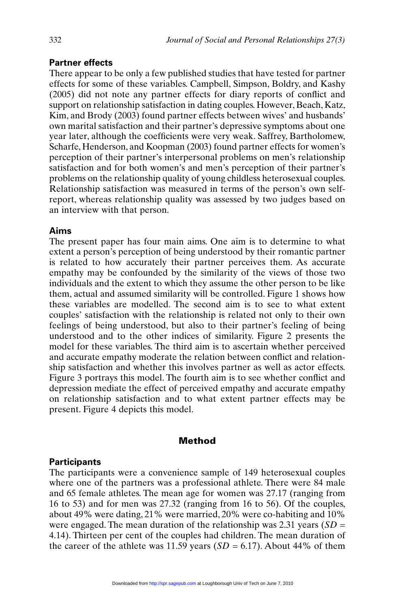#### **Partner effects**

There appear to be only a few published studies that have tested for partner effects for some of these variables. Campbell, Simpson, Boldry, and Kashy (2005) did not note any partner effects for diary reports of conflict and support on relationship satisfaction in dating couples. However, Beach, Katz, Kim, and Brody (2003) found partner effects between wives' and husbands' own marital satisfaction and their partner's depressive symptoms about one year later, although the coefficients were very weak. Saffrey, Bartholomew, Scharfe, Henderson, and Koopman (2003) found partner effects for women's perception of their partner's interpersonal problems on men's relationship satisfaction and for both women's and men's perception of their partner's problems on the relationship quality of young childless heterosexual couples. Relationship satisfaction was measured in terms of the person's own selfreport, whereas relationship quality was assessed by two judges based on an interview with that person.

#### **Aims**

The present paper has four main aims. One aim is to determine to what extent a person's perception of being understood by their romantic partner is related to how accurately their partner perceives them. As accurate empathy may be confounded by the similarity of the views of those two individuals and the extent to which they assume the other person to be like them, actual and assumed similarity will be controlled. Figure 1 shows how these variables are modelled. The second aim is to see to what extent couples' satisfaction with the relationship is related not only to their own feelings of being understood, but also to their partner's feeling of being understood and to the other indices of similarity. Figure 2 presents the model for these variables. The third aim is to ascertain whether perceived and accurate empathy moderate the relation between conflict and relationship satisfaction and whether this involves partner as well as actor effects. Figure 3 portrays this model. The fourth aim is to see whether conflict and depression mediate the effect of perceived empathy and accurate empathy on relationship satisfaction and to what extent partner effects may be present. Figure 4 depicts this model.

#### **Method**

#### **Participants**

The participants were a convenience sample of 149 heterosexual couples where one of the partners was a professional athlete. There were 84 male and 65 female athletes. The mean age for women was 27.17 (ranging from 16 to 53) and for men was 27.32 (ranging from 16 to 56). Of the couples, about 49% were dating, 21% were married, 20% were co-habiting and 10% were engaged. The mean duration of the relationship was 2.31 years (*SD* = 4.14). Thirteen per cent of the couples had children. The mean duration of the career of the athlete was  $11.59$  years  $(SD = 6.17)$ . About 44% of them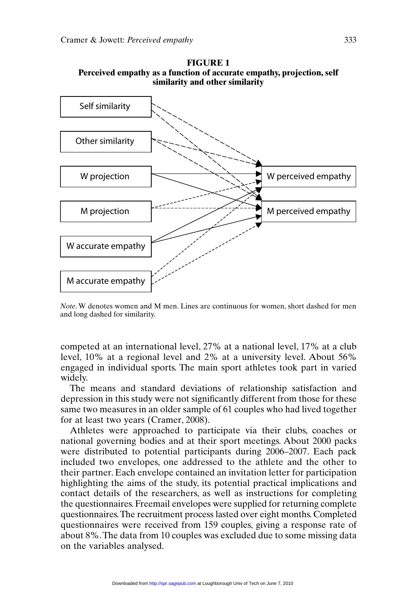

**FIGURE 1 Perceived empathy as a function of accurate empathy, projection, self similarity and other similarity**

*Note*. W denotes women and M men. Lines are continuous for women, short dashed for men and long dashed for similarity.

competed at an international level, 27% at a national level, 17% at a club level, 10% at a regional level and 2% at a university level. About 56% engaged in individual sports. The main sport athletes took part in varied widely.

The means and standard deviations of relationship satisfaction and depression in this study were not significantly different from those for these same two measures in an older sample of 61 couples who had lived together for at least two years (Cramer, 2008).

Athletes were approached to participate via their clubs, coaches or national governing bodies and at their sport meetings. About 2000 packs were distributed to potential participants during 2006–2007. Each pack included two envelopes, one addressed to the athlete and the other to their partner. Each envelope contained an invitation letter for participation highlighting the aims of the study, its potential practical implications and contact details of the researchers, as well as instructions for completing the questionnaires. Freemail envelopes were supplied for returning complete questionnaires.The recruitment process lasted over eight months. Completed questionnaires were received from 159 couples, giving a response rate of about 8%.The data from 10 couples was excluded due to some missing data on the variables analysed.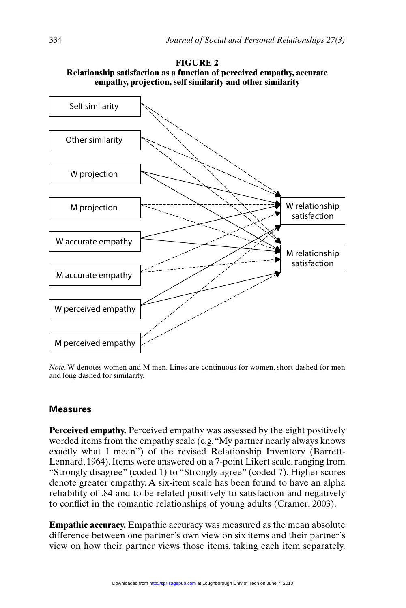

**FIGURE 2 Relationship satisfaction as a function of perceived empathy, accurate empathy, projection, self similarity and other similarity**

*Note*. W denotes women and M men. Lines are continuous for women, short dashed for men and long dashed for similarity.

#### **Measures**

**Perceived empathy.** Perceived empathy was assessed by the eight positively worded items from the empathy scale (e.g."My partner nearly always knows exactly what I mean") of the revised Relationship Inventory (Barrett-Lennard, 1964). Items were answered on a 7-point Likert scale, ranging from "Strongly disagree" (coded 1) to "Strongly agree" (coded 7). Higher scores denote greater empathy. A six-item scale has been found to have an alpha reliability of .84 and to be related positively to satisfaction and negatively to conflict in the romantic relationships of young adults (Cramer, 2003).

**Empathic accuracy.** Empathic accuracy was measured as the mean absolute difference between one partner's own view on six items and their partner's view on how their partner views those items, taking each item separately.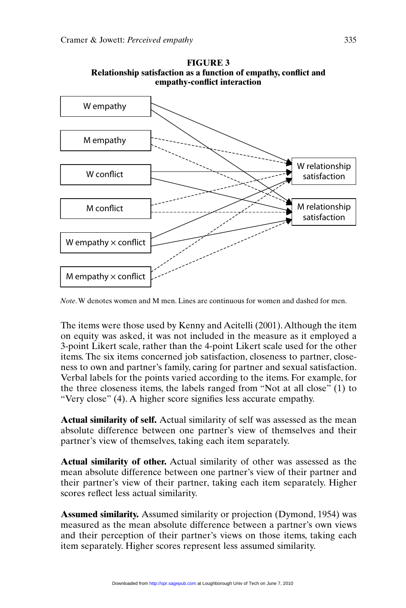

**FIGURE 3 Relationship satisfaction as a function of empathy, conflict and empathy-conflict interaction**

*Note*. W denotes women and M men. Lines are continuous for women and dashed for men.

The items were those used by Kenny and Acitelli (2001).Although the item on equity was asked, it was not included in the measure as it employed a 3-point Likert scale, rather than the 4-point Likert scale used for the other items. The six items concerned job satisfaction, closeness to partner, closeness to own and partner's family, caring for partner and sexual satisfaction. Verbal labels for the points varied according to the items. For example, for the three closeness items, the labels ranged from "Not at all close" (1) to "Very close" (4). A higher score signifies less accurate empathy.

**Actual similarity of self.** Actual similarity of self was assessed as the mean absolute difference between one partner's view of themselves and their partner's view of themselves, taking each item separately.

**Actual similarity of other.** Actual similarity of other was assessed as the mean absolute difference between one partner's view of their partner and their partner's view of their partner, taking each item separately. Higher scores reflect less actual similarity.

**Assumed similarity.** Assumed similarity or projection (Dymond, 1954) was measured as the mean absolute difference between a partner's own views and their perception of their partner's views on those items, taking each item separately. Higher scores represent less assumed similarity.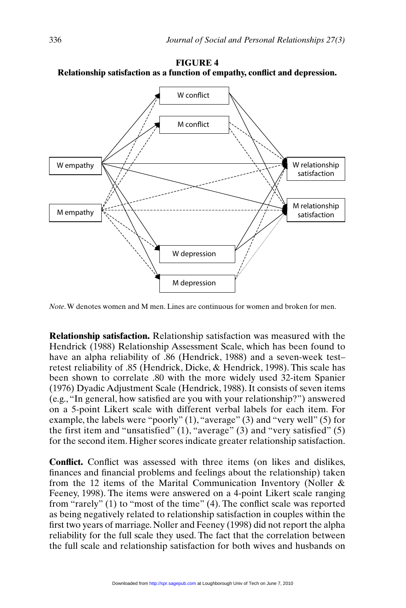

**FIGURE 4 Relationship satisfaction as a function of empathy, conflict and depression.**

*Note*. W denotes women and M men. Lines are continuous for women and broken for men.

**Relationship satisfaction.** Relationship satisfaction was measured with the Hendrick (1988) Relationship Assessment Scale, which has been found to have an alpha reliability of .86 (Hendrick, 1988) and a seven-week test– retest reliability of .85 (Hendrick, Dicke, & Hendrick, 1998). This scale has been shown to correlate .80 with the more widely used 32-item Spanier (1976) Dyadic Adjustment Scale (Hendrick, 1988). It consists of seven items (e.g., "In general, how satisfied are you with your relationship?") answered on a 5-point Likert scale with different verbal labels for each item. For example, the labels were "poorly" (1), "average" (3) and "very well" (5) for the first item and "unsatisfied"  $(1)$ , "average"  $(3)$  and "very satisfied"  $(5)$ for the second item. Higher scores indicate greater relationship satisfaction.

**Conflict.** Conflict was assessed with three items (on likes and dislikes, finances and financial problems and feelings about the relationship) taken from the 12 items of the Marital Communication Inventory (Noller & Feeney, 1998). The items were answered on a 4-point Likert scale ranging from "rarely" (1) to "most of the time" (4). The conflict scale was reported as being negatively related to relationship satisfaction in couples within the first two years of marriage. Noller and Feeney (1998) did not report the alpha reliability for the full scale they used. The fact that the correlation between the full scale and relationship satisfaction for both wives and husbands on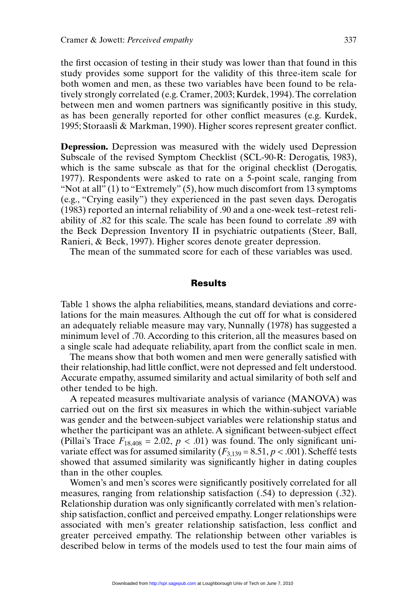the first occasion of testing in their study was lower than that found in this study provides some support for the validity of this three-item scale for both women and men, as these two variables have been found to be relatively strongly correlated (e.g. Cramer, 2003; Kurdek, 1994). The correlation between men and women partners was significantly positive in this study, as has been generally reported for other conflict measures (e.g. Kurdek, 1995; Storaasli & Markman, 1990). Higher scores represent greater conflict.

**Depression.** Depression was measured with the widely used Depression Subscale of the revised Symptom Checklist (SCL-90-R: Derogatis, 1983), which is the same subscale as that for the original checklist (Derogatis, 1977). Respondents were asked to rate on a 5-point scale, ranging from "Not at all<sup> $\ddot{ }$ </sup> (1) to "Extremely" (5), how much discomfort from 13 symptoms (e.g., "Crying easily") they experienced in the past seven days. Derogatis (1983) reported an internal reliability of .90 and a one-week test–retest reliability of .82 for this scale. The scale has been found to correlate .89 with the Beck Depression Inventory II in psychiatric outpatients (Steer, Ball, Ranieri, & Beck, 1997). Higher scores denote greater depression.

The mean of the summated score for each of these variables was used.

#### **Results**

Table 1 shows the alpha reliabilities, means, standard deviations and correlations for the main measures. Although the cut off for what is considered an adequately reliable measure may vary, Nunnally (1978) has suggested a minimum level of .70. According to this criterion, all the measures based on a single scale had adequate reliability, apart from the conflict scale in men.

The means show that both women and men were generally satisfied with their relationship, had little conflict, were not depressed and felt understood. Accurate empathy, assumed similarity and actual similarity of both self and other tended to be high.

A repeated measures multivariate analysis of variance (MANOVA) was carried out on the first six measures in which the within-subject variable was gender and the between-subject variables were relationship status and whether the participant was an athlete. A significant between-subject effect (Pillai's Trace  $F_{18,408} = 2.02$ ,  $p < .01$ ) was found. The only significant univariate effect was for assumed similarity  $(F_{3,139} = 8.51, p < .001)$ . Scheffé tests showed that assumed similarity was significantly higher in dating couples than in the other couples.

Women's and men's scores were significantly positively correlated for all measures, ranging from relationship satisfaction (.54) to depression (.32). Relationship duration was only significantly correlated with men's relationship satisfaction, conflict and perceived empathy. Longer relationships were associated with men's greater relationship satisfaction, less conflict and greater perceived empathy. The relationship between other variables is described below in terms of the models used to test the four main aims of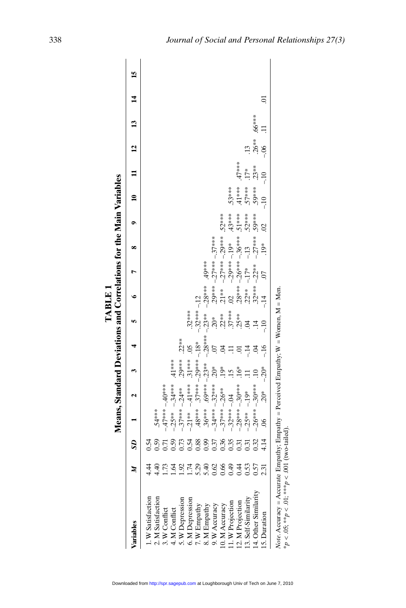|                                                                                                                                                     |                              |             | Means, Standard Deviations and Correlations for the Main Variables                                                                                                                                                                                                                                                                                                                                                                                                                                |                    |            |                           |                                              |                                                                                                  |         |                                          |                                    |                   |                  |                |           |   |   |
|-----------------------------------------------------------------------------------------------------------------------------------------------------|------------------------------|-------------|---------------------------------------------------------------------------------------------------------------------------------------------------------------------------------------------------------------------------------------------------------------------------------------------------------------------------------------------------------------------------------------------------------------------------------------------------------------------------------------------------|--------------------|------------|---------------------------|----------------------------------------------|--------------------------------------------------------------------------------------------------|---------|------------------------------------------|------------------------------------|-------------------|------------------|----------------|-----------|---|---|
| Variables                                                                                                                                           |                              | S           |                                                                                                                                                                                                                                                                                                                                                                                                                                                                                                   |                    |            |                           |                                              |                                                                                                  |         | ∞                                        |                                    |                   |                  |                |           |   | n |
| .W Satisfaction                                                                                                                                     | र्च                          | 0.54        |                                                                                                                                                                                                                                                                                                                                                                                                                                                                                                   |                    |            |                           |                                              |                                                                                                  |         |                                          |                                    |                   |                  |                |           |   |   |
| 2. M Satisfaction                                                                                                                                   |                              | <b>1.59</b> | .54***                                                                                                                                                                                                                                                                                                                                                                                                                                                                                            |                    |            |                           |                                              |                                                                                                  |         |                                          |                                    |                   |                  |                |           |   |   |
| 3.W Conflict                                                                                                                                        | ਵੰ ਸ਼ੁਰੂ ਏ ਸ਼ੁਰੂ ਦੇ ਉੱਤੇ ਤੋਂ |             | $-47***$                                                                                                                                                                                                                                                                                                                                                                                                                                                                                          | $-40***$           |            |                           |                                              |                                                                                                  |         |                                          |                                    |                   |                  |                |           |   |   |
| 4. M Conflict                                                                                                                                       |                              | .59         | $-25**$                                                                                                                                                                                                                                                                                                                                                                                                                                                                                           | $-34***$           | $.41***$   |                           |                                              |                                                                                                  |         |                                          |                                    |                   |                  |                |           |   |   |
| 5. W Depression                                                                                                                                     |                              | 55(         | $-37***$                                                                                                                                                                                                                                                                                                                                                                                                                                                                                          | $-.24**$           | $.29***$   | $22**$                    |                                              |                                                                                                  |         |                                          |                                    |                   |                  |                |           |   |   |
| 6. M Depression                                                                                                                                     |                              | 0.54        | $-21**$                                                                                                                                                                                                                                                                                                                                                                                                                                                                                           |                    | $-31***$   | $\widetilde{\mathrm{SO}}$ |                                              |                                                                                                  |         |                                          |                                    |                   |                  |                |           |   |   |
| $I.W$ Empathy                                                                                                                                       |                              | 0.88        | $\begin{array}{ll} &\displaystyle{48^{***}:\quad\, 37^{***} \quad\, \\ \displaystyle{-36^{***}:\quad 69^{***} \quad\, 69^{***} \quad\, \\ \displaystyle{-34^{***}:\quad\, 23^{***} \quad\, \\ \displaystyle{-34^{***}:\quad\, 27^{***} \quad\, \\ \displaystyle{-37^{***}:\quad\, 27^{***} \quad\, \\ \displaystyle{-37^{***}:\quad\, 27^{***} \quad\, \\ \displaystyle{-12^{***}:\quad\, 27^{***} \quad\, \\ \displaystyle{-28^{***}:\quad\, 27^{***} \quad\, \\ \displaystyle{-28^{***}:\quad\$ | $-41***$<br>.37*** |            | $-18*$                    | $32**$<br>$-32**$                            | $-12$                                                                                            |         |                                          |                                    |                   |                  |                |           |   |   |
| 8. M Empathy                                                                                                                                        |                              | 99          |                                                                                                                                                                                                                                                                                                                                                                                                                                                                                                   |                    | $-23**$    | $-28***$                  | $-23**$                                      | $-28***$                                                                                         | $49***$ |                                          |                                    |                   |                  |                |           |   |   |
| 9. W Accuracy                                                                                                                                       |                              | .37         |                                                                                                                                                                                                                                                                                                                                                                                                                                                                                                   |                    | $20*$      |                           |                                              |                                                                                                  |         | $-37***$                                 |                                    |                   |                  |                |           |   |   |
| 10. M Accuracy                                                                                                                                      |                              | 0.36        |                                                                                                                                                                                                                                                                                                                                                                                                                                                                                                   |                    | $19*$      | S.                        |                                              |                                                                                                  |         | $-29***$                                 | $52***$                            |                   |                  |                |           |   |   |
| 1. W Projection                                                                                                                                     |                              | 0.35        |                                                                                                                                                                                                                                                                                                                                                                                                                                                                                                   |                    | $\ddot{5}$ | $\Xi$                     |                                              |                                                                                                  |         |                                          |                                    | $.53***$          |                  |                |           |   |   |
| 12. M Projection                                                                                                                                    | $\dot{A}$                    | 31          |                                                                                                                                                                                                                                                                                                                                                                                                                                                                                                   |                    | $.16*$     |                           | $20**$<br>$22**$<br>$37**$<br>$35**$<br>$34$ |                                                                                                  |         | $-19**$<br>$-36***$<br>$-13$<br>$-27***$ | $43***$<br>51***<br>52***<br>59*** | $.41***$<br>57*** | $.47***$         |                |           |   |   |
| 13. Self-Similarity                                                                                                                                 | 53                           | 31          | $-.25***$                                                                                                                                                                                                                                                                                                                                                                                                                                                                                         |                    |            | 14                        |                                              |                                                                                                  |         |                                          |                                    |                   | $17*$            | $\frac{13}{2}$ |           |   |   |
| 14. Other Similarity                                                                                                                                | 57                           | .32         | $-26***$                                                                                                                                                                                                                                                                                                                                                                                                                                                                                          | $-30***$           |            | $\ddot{q}$                | $\overline{1}$                               | $\begin{array}{l} .29***\\ .31***\\ .02***\\ .22***\\ .23***\\ .32***\\ .33***\\ .44\end{array}$ |         |                                          |                                    |                   | $.23**$<br>$-10$ | $.26***$       | $***66**$ |   |   |
| 5. Duration                                                                                                                                         | ಸ                            | $\Xi$       | $\overline{0}$                                                                                                                                                                                                                                                                                                                                                                                                                                                                                    | $20*$              | $-20*$     | $-16$                     |                                              |                                                                                                  |         | $19*$                                    | $\overline{c}$                     | $\ddot{=}$        |                  | $-0.0$         | $\exists$ | 5 |   |
| Note. Accuracy = Accurate Empathy: Empathy = Perceived Empathy; $W = W$ omen, M = Men<br>* $p < 0.05$ ; ** $p < 0.01$ ; *** $p < 0.01$ (two-tailed) |                              |             |                                                                                                                                                                                                                                                                                                                                                                                                                                                                                                   |                    |            |                           |                                              |                                                                                                  |         |                                          |                                    |                   |                  |                |           |   |   |

| <br> <br> <br> |  |
|----------------|--|
|                |  |

Downloaded from<http://spr.sagepub.com>at Loughborough Univ of Tech on June 7, 2010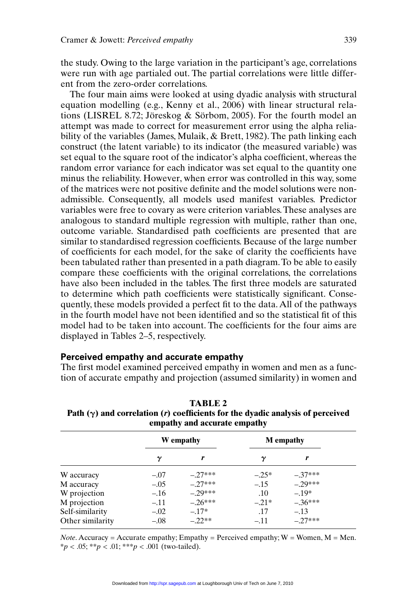the study. Owing to the large variation in the participant's age, correlations were run with age partialed out. The partial correlations were little different from the zero-order correlations.

The four main aims were looked at using dyadic analysis with structural equation modelling (e.g., Kenny et al., 2006) with linear structural relations (LISREL 8.72; Jöreskog & Sörbom, 2005). For the fourth model an attempt was made to correct for measurement error using the alpha reliability of the variables (James, Mulaik, & Brett, 1982). The path linking each construct (the latent variable) to its indicator (the measured variable) was set equal to the square root of the indicator's alpha coefficient, whereas the random error variance for each indicator was set equal to the quantity one minus the reliability. However, when error was controlled in this way, some of the matrices were not positive definite and the model solutions were nonadmissible. Consequently, all models used manifest variables. Predictor variables were free to covary as were criterion variables. These analyses are analogous to standard multiple regression with multiple, rather than one, outcome variable. Standardised path coefficients are presented that are similar to standardised regression coefficients. Because of the large number of coefficients for each model, for the sake of clarity the coefficients have been tabulated rather than presented in a path diagram.To be able to easily compare these coefficients with the original correlations, the correlations have also been included in the tables. The first three models are saturated to determine which path coefficients were statistically significant. Consequently, these models provided a perfect fit to the data. All of the pathways in the fourth model have not been identified and so the statistical fit of this model had to be taken into account. The coefficients for the four aims are displayed in Tables 2–5, respectively.

#### **Perceived empathy and accurate empathy**

The first model examined perceived empathy in women and men as a function of accurate empathy and projection (assumed similarity) in women and

**W empathy M empathy** *r r* W accuracy  $-0.07$   $-0.27***$   $-0.5$   $-1.5$   $-1.5$   $-29***$ M accuracy  $-0.5 -0.27*** -0.15$ <br>W projection  $-16 -0.29***$  10 W projection  $-16 -29^{***}$  .10  $-19^{*}$ <br>
M projection  $-11 -26^{***}$   $-21^{*} -36^{***}$ M projection  $-.11$   $-.26***$   $-.21*$ <br>Self-similarity  $-.02$   $-.17*$   $17$ Self-similarity  $-0.02 -1.17$   $-1.17 -1.13$ <br>Other similarity  $-0.8 -22^{**} -11 -27^{***}$ Other similarity  $-.08$   $-.22**$   $-.11$ 

**TABLE 2** Path  $(\gamma)$  and correlation  $(r)$  coefficients for the dyadic analysis of perceived **empathy and accurate empathy**

*Note*. Accuracy = Accurate empathy; Empathy = Perceived empathy;  $W =$  Women,  $M =$  Men.  $*_{p}$  < .05;  $*_{p}$  < .01;  $*_{p}$  < .001 (two-tailed).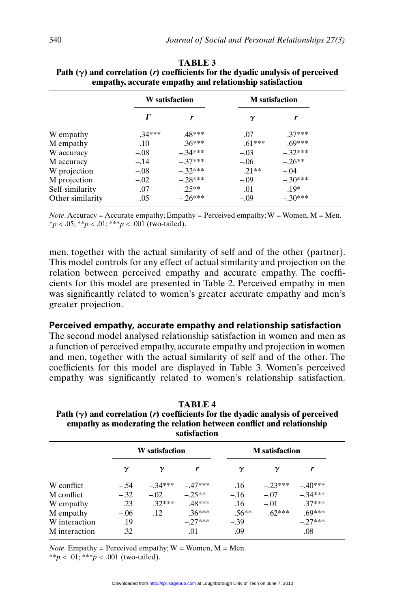|                  |          | empain'ny accurate empainy and relationship satisfaction<br><b>W</b> satisfaction |          | <b>M</b> satisfaction |  |
|------------------|----------|-----------------------------------------------------------------------------------|----------|-----------------------|--|
|                  |          |                                                                                   | γ        | r                     |  |
| W empathy        | $.34***$ | $.48***$                                                                          | .07      | $.37***$              |  |
| M empathy        | .10      | $.36***$                                                                          | $.61***$ | $.69***$              |  |
| W accuracy       | $-.08$   | $-.34***$                                                                         | $-.03$   | $-32***$              |  |
| M accuracy       | $-.14$   | $-.37***$                                                                         | $-.06$   | $-.26**$              |  |
| W projection     | $-.08$   | $-32***$                                                                          | $.21**$  | $-.04$                |  |
| M projection     | $-.02$   | $-.28***$                                                                         | $-.09$   | $-.30***$             |  |
| Self-similarity  | $-.07$   | $-.25**$                                                                          | $-.01$   | $-.19*$               |  |
| Other similarity | .05      | $-.26***$                                                                         | $-.09$   | $-30***$              |  |

| <b>TABLE 3</b>                                                                        |
|---------------------------------------------------------------------------------------|
| Path $(\gamma)$ and correlation (r) coefficients for the dyadic analysis of perceived |
| empathy, accurate empathy and relationship satisfaction                               |

*Note*. Accuracy = Accurate empathy; Empathy = Perceived empathy;  $W =$  Women,  $M =$  Men.  $**p* < .05; ***p* < .01; ****p* < .001$  (two-tailed).

men, together with the actual similarity of self and of the other (partner). This model controls for any effect of actual similarity and projection on the relation between perceived empathy and accurate empathy. The coefficients for this model are presented in Table 2. Perceived empathy in men was significantly related to women's greater accurate empathy and men's greater projection.

#### **Perceived empathy, accurate empathy and relationship satisfaction**

The second model analysed relationship satisfaction in women and men as a function of perceived empathy, accurate empathy and projection in women and men, together with the actual similarity of self and of the other. The coefficients for this model are displayed in Table 3. Women's perceived empathy was significantly related to women's relationship satisfaction.

**TABLE 4** Path  $(\gamma)$  and correlation  $(r)$  coefficients for the dyadic analysis of perceived **empathy as moderating the relation between conflict and relationship satisfaction**

|               |                       | W satisfaction |           |         | <b>M</b> satisfaction |           |  |
|---------------|-----------------------|----------------|-----------|---------|-----------------------|-----------|--|
|               | $\boldsymbol{\gamma}$ | γ              | r         | γ       | γ                     |           |  |
| W conflict    | $-.54$                | $-.34***$      | $-47***$  | .16     | $-.23***$             | $-.40***$ |  |
| M conflict    | $-.32$                | $-.02$         | $-.25**$  | $-.16$  | $-.07$                | $-.34***$ |  |
| W empathy     | .23                   | $.32***$       | $.48***$  | .16     | $-.01$                | $.37***$  |  |
| M empathy     | $-.06$                | .12            | $.36***$  | $.56**$ | $.62***$              | .69***    |  |
| W interaction | .19                   |                | $-.27***$ | $-.39$  |                       | $-.27***$ |  |
| M interaction | .32                   |                | $-.01$    | .09     |                       | .08       |  |

*Note*. Empathy = Perceived empathy; W = Women, M = Men. \*\**p* < .01; \*\*\**p* < .001 (two-tailed).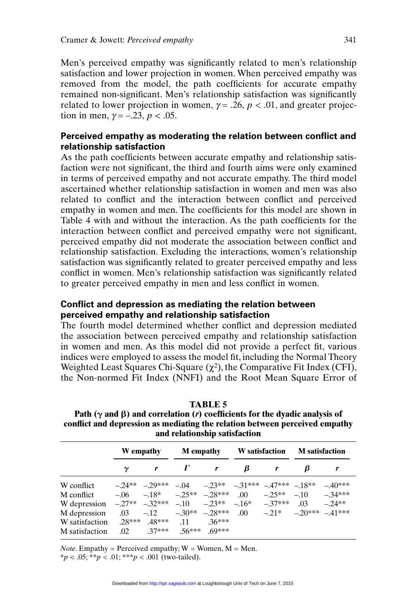Men's perceived empathy was significantly related to men's relationship satisfaction and lower projection in women. When perceived empathy was removed from the model, the path coefficients for accurate empathy remained non-significant. Men's relationship satisfaction was significantly related to lower projection in women,  $\gamma = .26$ ,  $p < .01$ , and greater projection in men,  $\nu = -.23$ ,  $p < .05$ .

#### **Perceived empathy as moderating the relation between conflict and relationship satisfaction**

As the path coefficients between accurate empathy and relationship satisfaction were not significant, the third and fourth aims were only examined in terms of perceived empathy and not accurate empathy. The third model ascertained whether relationship satisfaction in women and men was also related to conflict and the interaction between conflict and perceived empathy in women and men. The coefficients for this model are shown in Table 4 with and without the interaction. As the path coefficients for the interaction between conflict and perceived empathy were not significant, perceived empathy did not moderate the association between conflict and relationship satisfaction. Excluding the interactions, women's relationship satisfaction was significantly related to greater perceived empathy and less conflict in women. Men's relationship satisfaction was significantly related to greater perceived empathy in men and less conflict in women.

#### **Conflict and depression as mediating the relation between perceived empathy and relationship satisfaction**

The fourth model determined whether conflict and depression mediated the association between perceived empathy and relationship satisfaction in women and men. As this model did not provide a perfect fit, various indices were employed to assess the model fit, including the Normal Theory Weighted Least Squares Chi-Square  $(\chi^2)$ , the Comparative Fit Index (CFI), the Non-normed Fit Index (NNFI) and the Root Mean Square Error of

**TABLE 5 Path** ( $\gamma$  and  $\beta$ ) and correlation ( $r$ ) coefficients for the dyadic analysis of **conflict and depression as mediating the relation between perceived empathy and relationship satisfaction**

|                |          | W empathy                             |          | M empathy |                                              | <b>W</b> satisfaction |                  | <b>M</b> satisfaction |
|----------------|----------|---------------------------------------|----------|-----------|----------------------------------------------|-----------------------|------------------|-----------------------|
|                | γ        | r                                     | Г        | r         | В                                            | r                     | ß                | r                     |
| W conflict     |          | $-.24***$ $-.29***$                   |          |           | $-.04$ $-.23**$ $-.31***$ $-.47***$ $-.18**$ |                       |                  | $-.40***$             |
| M conflict     |          | $-.06 - .18^* - .25^{**} - .28^{***}$ |          |           | .00.                                         |                       | $-.25**$ $-.10$  | $-.34***$             |
| W depression   |          | $-.27**$ $-.32***$ $-.10$             |          | $-.23**$  |                                              | $-.16* - .37***$      | .03              | $-.24**$              |
| M depression   | $.03\,$  | $-.12$                                | $-.30**$ | $-.28***$ | .00.                                         | $-21*$                | $-.20***-.41***$ |                       |
| W satisfaction | $.28***$ | $.48***$                              | .11      | $.36***$  |                                              |                       |                  |                       |
| M satisfaction | $.02\,$  | $37***$                               | $.56***$ | $.69***$  |                                              |                       |                  |                       |

*Note*. Empathy = Perceived empathy;  $W =$  Women,  $M =$  Men.  $*_{p}$  < .05; \*\**p* < .01; \*\*\**p* < .001 (two-tailed).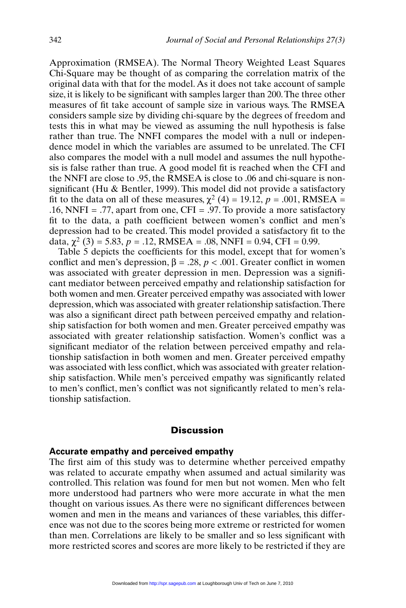Approximation (RMSEA). The Normal Theory Weighted Least Squares Chi-Square may be thought of as comparing the correlation matrix of the original data with that for the model. As it does not take account of sample size, it is likely to be significant with samples larger than 200.The three other measures of fit take account of sample size in various ways. The RMSEA considers sample size by dividing chi-square by the degrees of freedom and tests this in what may be viewed as assuming the null hypothesis is false rather than true. The NNFI compares the model with a null or independence model in which the variables are assumed to be unrelated. The CFI also compares the model with a null model and assumes the null hypothesis is false rather than true. A good model fit is reached when the CFI and the NNFI are close to .95, the RMSEA is close to .06 and chi-square is nonsignificant (Hu & Bentler, 1999). This model did not provide a satisfactory fit to the data on all of these measures,  $\chi^2$  (4) = 19.12, *p* = .001, RMSEA = .16, NNFI = .77, apart from one, CFI = .97. To provide a more satisfactory fit to the data, a path coefficient between women's conflict and men's depression had to be created. This model provided a satisfactory fit to the data,  $\chi^2$  (3) = 5.83, *p* = .12, RMSEA = .08, NNFI = 0.94, CFI = 0.99.

Table 5 depicts the coefficients for this model, except that for women's conflict and men's depression,  $\beta = .28$ ,  $p < .001$ . Greater conflict in women was associated with greater depression in men. Depression was a significant mediator between perceived empathy and relationship satisfaction for both women and men. Greater perceived empathy was associated with lower depression, which was associated with greater relationship satisfaction.There was also a significant direct path between perceived empathy and relationship satisfaction for both women and men. Greater perceived empathy was associated with greater relationship satisfaction. Women's conflict was a significant mediator of the relation between perceived empathy and relationship satisfaction in both women and men. Greater perceived empathy was associated with less conflict, which was associated with greater relationship satisfaction. While men's perceived empathy was significantly related to men's conflict, men's conflict was not significantly related to men's relationship satisfaction.

#### **Discussion**

#### **Accurate empathy and perceived empathy**

The first aim of this study was to determine whether perceived empathy was related to accurate empathy when assumed and actual similarity was controlled. This relation was found for men but not women. Men who felt more understood had partners who were more accurate in what the men thought on various issues. As there were no significant differences between women and men in the means and variances of these variables, this difference was not due to the scores being more extreme or restricted for women than men. Correlations are likely to be smaller and so less significant with more restricted scores and scores are more likely to be restricted if they are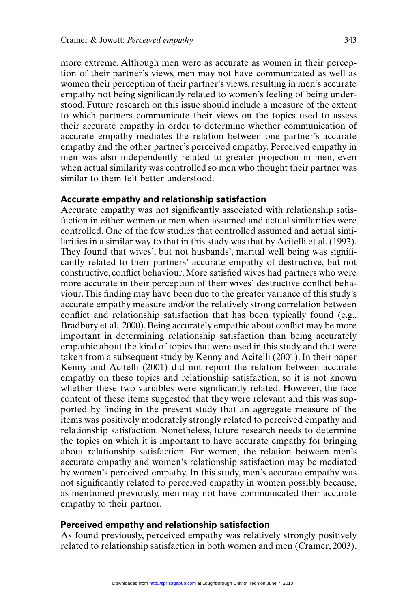more extreme. Although men were as accurate as women in their perception of their partner's views, men may not have communicated as well as women their perception of their partner's views, resulting in men's accurate empathy not being significantly related to women's feeling of being understood. Future research on this issue should include a measure of the extent to which partners communicate their views on the topics used to assess their accurate empathy in order to determine whether communication of accurate empathy mediates the relation between one partner's accurate empathy and the other partner's perceived empathy. Perceived empathy in men was also independently related to greater projection in men, even when actual similarity was controlled so men who thought their partner was similar to them felt better understood.

#### **Accurate empathy and relationship satisfaction**

Accurate empathy was not significantly associated with relationship satisfaction in either women or men when assumed and actual similarities were controlled. One of the few studies that controlled assumed and actual similarities in a similar way to that in this study was that by Acitelli et al. (1993). They found that wives', but not husbands', marital well being was significantly related to their partners' accurate empathy of destructive, but not constructive, conflict behaviour. More satisfied wives had partners who were more accurate in their perception of their wives' destructive conflict behaviour. This finding may have been due to the greater variance of this study's accurate empathy measure and/or the relatively strong correlation between conflict and relationship satisfaction that has been typically found (e.g., Bradbury et al., 2000). Being accurately empathic about conflict may be more important in determining relationship satisfaction than being accurately empathic about the kind of topics that were used in this study and that were taken from a subsequent study by Kenny and Acitelli (2001). In their paper Kenny and Acitelli (2001) did not report the relation between accurate empathy on these topics and relationship satisfaction, so it is not known whether these two variables were significantly related. However, the face content of these items suggested that they were relevant and this was supported by finding in the present study that an aggregate measure of the items was positively moderately strongly related to perceived empathy and relationship satisfaction. Nonetheless, future research needs to determine the topics on which it is important to have accurate empathy for bringing about relationship satisfaction. For women, the relation between men's accurate empathy and women's relationship satisfaction may be mediated by women's perceived empathy. In this study, men's accurate empathy was not significantly related to perceived empathy in women possibly because, as mentioned previously, men may not have communicated their accurate empathy to their partner.

#### **Perceived empathy and relationship satisfaction**

As found previously, perceived empathy was relatively strongly positively related to relationship satisfaction in both women and men (Cramer, 2003),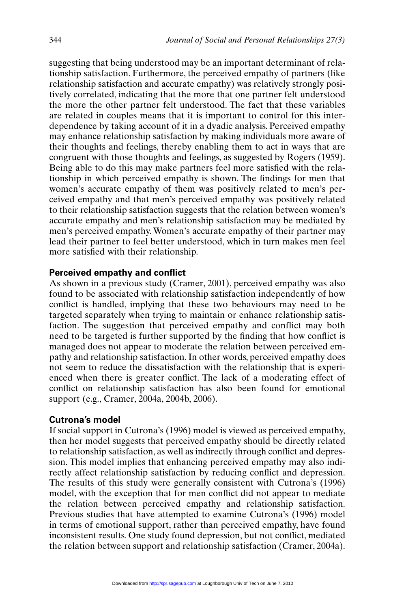suggesting that being understood may be an important determinant of relationship satisfaction. Furthermore, the perceived empathy of partners (like relationship satisfaction and accurate empathy) was relatively strongly positively correlated, indicating that the more that one partner felt understood the more the other partner felt understood. The fact that these variables are related in couples means that it is important to control for this interdependence by taking account of it in a dyadic analysis. Perceived empathy may enhance relationship satisfaction by making individuals more aware of their thoughts and feelings, thereby enabling them to act in ways that are congruent with those thoughts and feelings, as suggested by Rogers (1959). Being able to do this may make partners feel more satisfied with the relationship in which perceived empathy is shown. The findings for men that women's accurate empathy of them was positively related to men's perceived empathy and that men's perceived empathy was positively related to their relationship satisfaction suggests that the relation between women's accurate empathy and men's relationship satisfaction may be mediated by men's perceived empathy. Women's accurate empathy of their partner may lead their partner to feel better understood, which in turn makes men feel more satisfied with their relationship.

#### **Perceived empathy and conflict**

As shown in a previous study (Cramer, 2001), perceived empathy was also found to be associated with relationship satisfaction independently of how conflict is handled, implying that these two behaviours may need to be targeted separately when trying to maintain or enhance relationship satisfaction. The suggestion that perceived empathy and conflict may both need to be targeted is further supported by the finding that how conflict is managed does not appear to moderate the relation between perceived empathy and relationship satisfaction. In other words, perceived empathy does not seem to reduce the dissatisfaction with the relationship that is experienced when there is greater conflict. The lack of a moderating effect of conflict on relationship satisfaction has also been found for emotional support (e.g., Cramer, 2004a, 2004b, 2006).

#### **Cutrona's model**

If social support in Cutrona's (1996) model is viewed as perceived empathy, then her model suggests that perceived empathy should be directly related to relationship satisfaction, as well as indirectly through conflict and depression. This model implies that enhancing perceived empathy may also indirectly affect relationship satisfaction by reducing conflict and depression. The results of this study were generally consistent with Cutrona's (1996) model, with the exception that for men conflict did not appear to mediate the relation between perceived empathy and relationship satisfaction. Previous studies that have attempted to examine Cutrona's (1996) model in terms of emotional support, rather than perceived empathy, have found inconsistent results. One study found depression, but not conflict, mediated the relation between support and relationship satisfaction (Cramer, 2004a).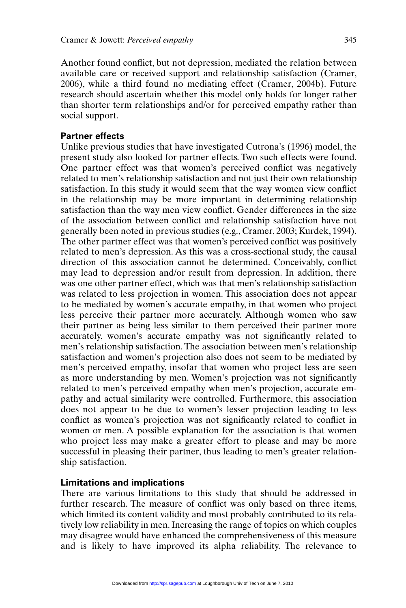Another found conflict, but not depression, mediated the relation between available care or received support and relationship satisfaction (Cramer, 2006), while a third found no mediating effect (Cramer, 2004b). Future research should ascertain whether this model only holds for longer rather than shorter term relationships and/or for perceived empathy rather than social support.

#### **Partner effects**

Unlike previous studies that have investigated Cutrona's (1996) model, the present study also looked for partner effects. Two such effects were found. One partner effect was that women's perceived conflict was negatively related to men's relationship satisfaction and not just their own relationship satisfaction. In this study it would seem that the way women view conflict in the relationship may be more important in determining relationship satisfaction than the way men view conflict. Gender differences in the size of the association between conflict and relationship satisfaction have not generally been noted in previous studies (e.g., Cramer, 2003; Kurdek, 1994). The other partner effect was that women's perceived conflict was positively related to men's depression. As this was a cross-sectional study, the causal direction of this association cannot be determined. Conceivably, conflict may lead to depression and/or result from depression. In addition, there was one other partner effect, which was that men's relationship satisfaction was related to less projection in women. This association does not appear to be mediated by women's accurate empathy, in that women who project less perceive their partner more accurately. Although women who saw their partner as being less similar to them perceived their partner more accurately, women's accurate empathy was not significantly related to men's relationship satisfaction. The association between men's relationship satisfaction and women's projection also does not seem to be mediated by men's perceived empathy, insofar that women who project less are seen as more understanding by men. Women's projection was not significantly related to men's perceived empathy when men's projection, accurate empathy and actual similarity were controlled. Furthermore, this association does not appear to be due to women's lesser projection leading to less conflict as women's projection was not significantly related to conflict in women or men. A possible explanation for the association is that women who project less may make a greater effort to please and may be more successful in pleasing their partner, thus leading to men's greater relationship satisfaction.

#### **Limitations and implications**

There are various limitations to this study that should be addressed in further research. The measure of conflict was only based on three items, which limited its content validity and most probably contributed to its relatively low reliability in men. Increasing the range of topics on which couples may disagree would have enhanced the comprehensiveness of this measure and is likely to have improved its alpha reliability. The relevance to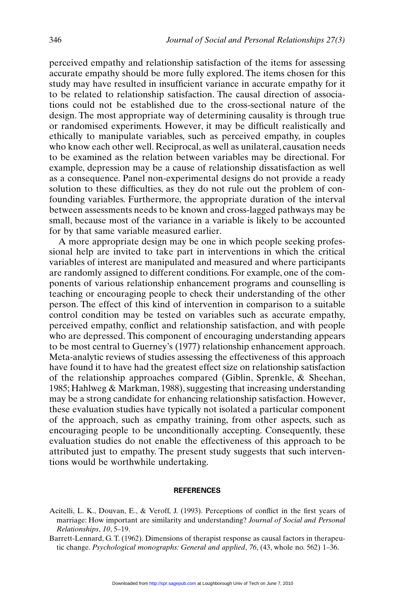perceived empathy and relationship satisfaction of the items for assessing accurate empathy should be more fully explored. The items chosen for this study may have resulted in insufficient variance in accurate empathy for it to be related to relationship satisfaction. The causal direction of associations could not be established due to the cross-sectional nature of the design. The most appropriate way of determining causality is through true or randomised experiments. However, it may be difficult realistically and ethically to manipulate variables, such as perceived empathy, in couples who know each other well. Reciprocal, as well as unilateral, causation needs to be examined as the relation between variables may be directional. For example, depression may be a cause of relationship dissatisfaction as well as a consequence. Panel non-experimental designs do not provide a ready solution to these difficulties, as they do not rule out the problem of confounding variables. Furthermore, the appropriate duration of the interval between assessments needs to be known and cross-lagged pathways may be small, because most of the variance in a variable is likely to be accounted for by that same variable measured earlier.

A more appropriate design may be one in which people seeking professional help are invited to take part in interventions in which the critical variables of interest are manipulated and measured and where participants are randomly assigned to different conditions. For example, one of the components of various relationship enhancement programs and counselling is teaching or encouraging people to check their understanding of the other person. The effect of this kind of intervention in comparison to a suitable control condition may be tested on variables such as accurate empathy, perceived empathy, conflict and relationship satisfaction, and with people who are depressed. This component of encouraging understanding appears to be most central to Guerney's (1977) relationship enhancement approach. Meta-analytic reviews of studies assessing the effectiveness of this approach have found it to have had the greatest effect size on relationship satisfaction of the relationship approaches compared (Giblin, Sprenkle, & Sheehan, 1985; Hahlweg & Markman, 1988), suggesting that increasing understanding may be a strong candidate for enhancing relationship satisfaction. However, these evaluation studies have typically not isolated a particular component of the approach, such as empathy training, from other aspects, such as encouraging people to be unconditionally accepting. Consequently, these evaluation studies do not enable the effectiveness of this approach to be attributed just to empathy. The present study suggests that such interventions would be worthwhile undertaking.

#### **REFERENCES**

Acitelli, L. K., Douvan, E., & Veroff, J. (1993). Perceptions of conflict in the first years of marriage: How important are similarity and understanding? *Journal of Social and Personal Relationships*, *10*, 5–19.

Barrett-Lennard, G. T. (1962). Dimensions of therapist response as causal factors in therapeutic change. *Psychological monographs: General and applied*, *76*, (43, whole no. 562) 1–36.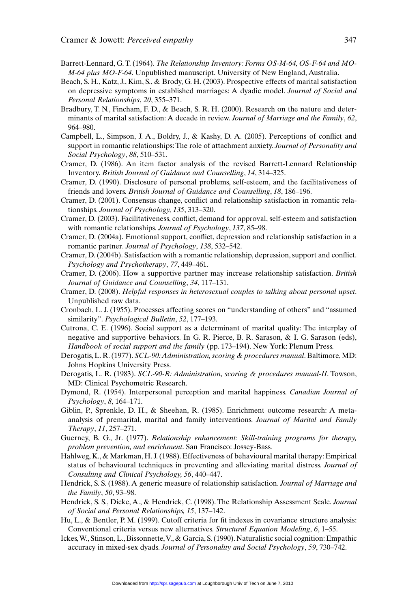- Barrett-Lennard, G. T. (1964). *The Relationship Inventory: Forms OS-M-64, OS-F-64 and MO-M-64 plus MO-F-64*. Unpublished manuscript. University of New England, Australia.
- Beach, S. H., Katz, J., Kim, S., & Brody, G. H. (2003). Prospective effects of marital satisfaction on depressive symptoms in established marriages: A dyadic model. *Journal of Social and Personal Relationships*, *20*, 355–371.
- Bradbury, T. N., Fincham, F. D., & Beach, S. R. H. (2000). Research on the nature and determinants of marital satisfaction: A decade in review. *Journal of Marriage and the Family*, *62*, 964–980.
- Campbell, L., Simpson, J. A., Boldry, J., & Kashy, D. A. (2005). Perceptions of conflict and support in romantic relationships:The role of attachment anxiety. *Journal of Personality and Social Psychology*, *88*, 510–531.
- Cramer, D. (1986). An item factor analysis of the revised Barrett-Lennard Relationship Inventory. *British Journal of Guidance and Counselling*, *14*, 314–325.
- Cramer, D. (1990). Disclosure of personal problems, self-esteem, and the facilitativeness of friends and lovers. *British Journal of Guidance and Counselling*, *18*, 186–196.
- Cramer, D. (2001). Consensus change, conflict and relationship satisfaction in romantic relationships. *Journal of Psychology, 135*, 313–320.
- Cramer, D. (2003). Facilitativeness, conflict, demand for approval, self-esteem and satisfaction with romantic relationships. *Journal of Psychology*, *137*, 85–98.
- Cramer, D. (2004a). Emotional support, conflict, depression and relationship satisfaction in a romantic partner. *Journal of Psychology*, *138*, 532–542.
- Cramer, D. (2004b). Satisfaction with a romantic relationship, depression, support and conflict. *Psychology and Psychotherapy*, *77*, 449–461.
- Cramer, D. (2006). How a supportive partner may increase relationship satisfaction. *British Journal of Guidance and Counselling*, *34*, 117–131.
- Cramer, D. (2008). *Helpful responses in heterosexual couples to talking about personal upset*. Unpublished raw data.
- Cronbach, L. J. (1955). Processes affecting scores on "understanding of others" and "assumed similarity". *Psychological Bulletin*, *52*, 177–193.
- Cutrona, C. E. (1996). Social support as a determinant of marital quality: The interplay of negative and supportive behaviors. In G. R. Pierce, B. R. Sarason, & I. G. Sarason (eds), *Handbook of social support and the family* (pp. 173–194). New York: Plenum Press.
- Derogatis, L. R. (1977). *SCL-90: Administration, scoring & procedures manual*. Baltimore, MD: Johns Hopkins University Press.
- Derogatis, L. R. (1983). *SCL-90-R: Administration, scoring & procedures manual-II*. Towson, MD: Clinical Psychometric Research.
- Dymond, R. (1954). Interpersonal perception and marital happiness. *Canadian Journal of Psychology*, *8*, 164–171.
- Giblin, P., Sprenkle, D. H., & Sheehan, R. (1985). Enrichment outcome research: A metaanalysis of premarital, marital and family interventions. *Journal of Marital and Family Therapy*, *11*, 257–271.
- Guerney, B. G., Jr. (1977). *Relationship enhancement: Skill-training programs for therapy, problem prevention, and enrichment*. San Francisco: Jossey-Bass.
- Hahlweg, K., & Markman, H. J. (1988). Effectiveness of behavioural marital therapy: Empirical status of behavioural techniques in preventing and alleviating marital distress. *Journal of Consulting and Clinical Psychology, 56*, 440–447.
- Hendrick, S. S. (1988). A generic measure of relationship satisfaction. *Journal of Marriage and the Family*, *50*, 93–98.
- Hendrick, S. S., Dicke, A., & Hendrick, C. (1998). The Relationship Assessment Scale. *Journal of Social and Personal Relationships, 15*, 137–142.
- Hu, L., & Bentler, P. M. (1999). Cutoff criteria for fit indexes in covariance structure analysis: Conventional criteria versus new alternatives. *Structural Equation Modeling*, *6*, 1–55.
- Ickes,W., Stinson, L., Bissonnette,V., & Garcia, S. (1990). Naturalistic social cognition: Empathic accuracy in mixed-sex dyads. *Journal of Personality and Social Psychology*, *59*, 730–742.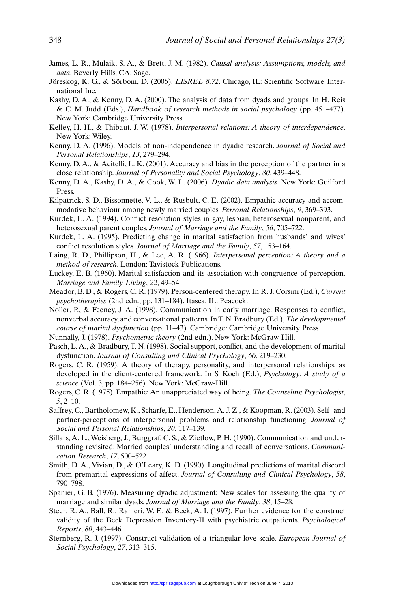- James, L. R., Mulaik, S. A., & Brett, J. M. (1982). *Causal analysis: Assumptions, models, and data*. Beverly Hills, CA: Sage.
- Jöreskog, K. G., & Sörbom, D. (2005). *LISREL 8.72*. Chicago, IL: Scientific Software International Inc.
- Kashy, D. A., & Kenny, D. A. (2000). The analysis of data from dyads and groups. In H. Reis & C. M. Judd (Eds.), *Handbook of research methods in social psychology* (pp. 451–477). New York: Cambridge University Press.
- Kelley, H. H., & Thibaut, J. W. (1978). *Interpersonal relations: A theory of interdependence*. New York: Wiley.
- Kenny, D. A. (1996). Models of non-independence in dyadic research. *Journal of Social and Personal Relationships*, *13*, 279–294.
- Kenny, D. A., & Acitelli, L. K. (2001). Accuracy and bias in the perception of the partner in a close relationship. *Journal of Personality and Social Psychology*, *80*, 439–448.
- Kenny, D. A., Kashy, D. A., & Cook, W. L. (2006). *Dyadic data analysis*. New York: Guilford Press.
- Kilpatrick, S. D., Bissonnette, V. L., & Rusbult, C. E. (2002). Empathic accuracy and accommodative behaviour among newly married couples. *Personal Relationships*, *9*, 369–393.
- Kurdek, L. A. (1994). Conflict resolution styles in gay, lesbian, heterosexual nonparent, and heterosexual parent couples. *Journal of Marriage and the Family*, *56*, 705–722.
- Kurdek, L. A. (1995). Predicting change in marital satisfaction from husbands' and wives' conflict resolution styles. *Journal of Marriage and the Family*, *57*, 153–164.
- Laing, R. D., Phillipson, H., & Lee, A. R. (1966). *Interpersonal perception: A theory and a method of research*. London: Tavistock Publications.
- Luckey, E. B. (1960). Marital satisfaction and its association with congruence of perception. *Marriage and Family Living*, *22*, 49–54.
- Meador, B. D., & Rogers, C. R. (1979). Person-centered therapy. In R. J. Corsini (Ed.), *Current psychotherapies* (2nd edn., pp. 131–184). Itasca, IL: Peacock.
- Noller, P., & Feeney, J. A. (1998). Communication in early marriage: Responses to conflict, nonverbal accuracy, and conversational patterns. In T. N. Bradbury (Ed.), *The developmental course of marital dysfunction* (pp. 11–43). Cambridge: Cambridge University Press.
- Nunnally, J. (1978). *Psychometric theory* (2nd edn.). New York: McGraw-Hill.
- Pasch, L. A., & Bradbury, T. N. (1998). Social support, conflict, and the development of marital dysfunction. *Journal of Consulting and Clinical Psychology*, *66*, 219–230.
- Rogers, C. R. (1959). A theory of therapy, personality, and interpersonal relationships, as developed in the client-centered framework. In S. Koch (Ed.), *Psychology: A study of a science* (Vol. 3, pp. 184–256). New York: McGraw-Hill.
- Rogers, C. R. (1975). Empathic: An unappreciated way of being. *The Counseling Psychologist*, *5*, 2–10.
- Saffrey, C., Bartholomew, K., Scharfe, E., Henderson, A. J. Z., & Koopman, R. (2003). Self- and partner-perceptions of interpersonal problems and relationship functioning. *Journal of Social and Personal Relationships*, *20*, 117–139.
- Sillars, A. L., Weisberg, J., Burggraf, C. S., & Zietlow, P. H. (1990). Communication and understanding revisited: Married couples' understanding and recall of conversations. *Communication Research*, *17*, 500–522.
- Smith, D. A., Vivian, D., & O'Leary, K. D. (1990). Longitudinal predictions of marital discord from premarital expressions of affect. *Journal of Consulting and Clinical Psychology*, *58*, 790–798.
- Spanier, G. B. (1976). Measuring dyadic adjustment: New scales for assessing the quality of marriage and similar dyads. *Journal of Marriage and the Family*, *38*, 15–28.
- Steer, R. A., Ball, R., Ranieri, W. F., & Beck, A. I. (1997). Further evidence for the construct validity of the Beck Depression Inventory-II with psychiatric outpatients. *Psychological Reports*, *80*, 443–446.
- Sternberg, R. J. (1997). Construct validation of a triangular love scale. *European Journal of Social Psychology*, *27*, 313–315.